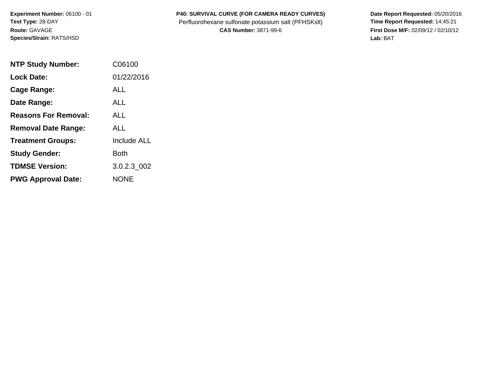**Experiment Number:** 06100 - 01 **Test Type:** 28-DAY **Route:** GAVAGE **Species/Strain:** RATS/HSD

## P40: SURVIVAL CURVE (FOR CAMERA READY CURVES) Date Report Requested: 05/20/2016

Perfluorohexane sulfonate potassium salt (PFHSKslt) **Time Report Requested:** 14:45:21 **CAS Number:** 3871-99-6 **First Dose M/F:** 02/09/12 / 02/10/12

**Lab:** BAT

| <b>NTP Study Number:</b>    | C06100             |
|-----------------------------|--------------------|
| <b>Lock Date:</b>           | 01/22/2016         |
| Cage Range:                 | ALL                |
| Date Range:                 | ALL                |
| <b>Reasons For Removal:</b> | ALL.               |
| <b>Removal Date Range:</b>  | ALL                |
| <b>Treatment Groups:</b>    | <b>Include ALL</b> |
| <b>Study Gender:</b>        | Both               |
| <b>TDMSE Version:</b>       | 3.0.2.3 002        |
| <b>PWG Approval Date:</b>   | <b>NONE</b>        |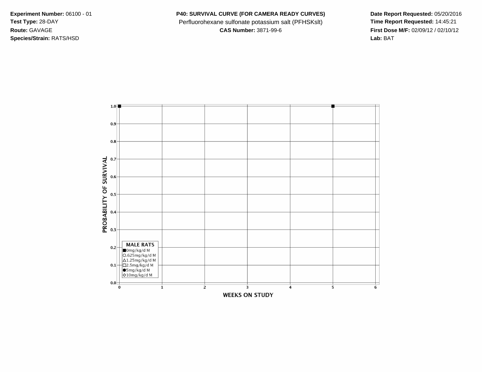**Species/Strain:** RATS/HSD **Lab:** BAT

**Experiment Number:** 06100 - 01 **P40: SURVIVAL CURVE (FOR CAMERA READY CURVES) Date Report Requested:** 05/20/2016 Test Type: 28-DAY **Perfluorohexane sulfonate potassium salt (PFHSKslt)** Time Report Requested: 14:45:21

**Route:** GAVAGE **CAS Number:** 3871-99-6 **First Dose M/F:** 02/09/12 / 02/10/12